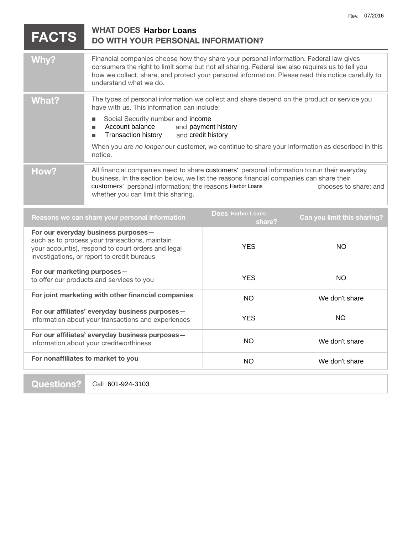| <b>FACTS</b>                                                                                                                                                                               | <b>WHAT DOES Harbor Loans</b><br><b>DO WITH YOUR PERSONAL INFORMATION?</b>                                                                                                                                                                                                                                                |            |                |
|--------------------------------------------------------------------------------------------------------------------------------------------------------------------------------------------|---------------------------------------------------------------------------------------------------------------------------------------------------------------------------------------------------------------------------------------------------------------------------------------------------------------------------|------------|----------------|
| Why?                                                                                                                                                                                       | Financial companies choose how they share your personal information. Federal law gives<br>consumers the right to limit some but not all sharing. Federal law also requires us to tell you<br>how we collect, share, and protect your personal information. Please read this notice carefully to<br>understand what we do. |            |                |
| <b>What?</b>                                                                                                                                                                               | The types of personal information we collect and share depend on the product or service you<br>have with us. This information can include:<br>Social Security number and income<br>L.<br>Account balance<br>and payment history<br>П<br><b>Transaction history</b><br>and credit history<br>п                             |            |                |
|                                                                                                                                                                                            | When you are no longer our customer, we continue to share your information as described in this<br>notice.                                                                                                                                                                                                                |            |                |
| How?                                                                                                                                                                                       | All financial companies need to share customers' personal information to run their everyday<br>business. In the section below, we list the reasons financial companies can share their<br>customers' personal information; the reasons Harbor Loans<br>chooses to share; and<br>whether you can limit this sharing.       |            |                |
| <b>Does Harbor Loans</b><br>Reasons we can share your personal information<br>Can you limit this sharing?<br>share?                                                                        |                                                                                                                                                                                                                                                                                                                           |            |                |
| For our everyday business purposes-<br>such as to process your transactions, maintain<br>your account(s), respond to court orders and legal<br>investigations, or report to credit bureaus |                                                                                                                                                                                                                                                                                                                           | <b>YES</b> | <b>NO</b>      |
| For our marketing purposes-<br>to offer our products and services to you                                                                                                                   |                                                                                                                                                                                                                                                                                                                           | <b>YES</b> | <b>NO</b>      |
| For joint marketing with other financial companies                                                                                                                                         |                                                                                                                                                                                                                                                                                                                           | <b>NO</b>  | We don't share |
| For our affiliates' everyday business purposes-<br>information about your transactions and experiences                                                                                     |                                                                                                                                                                                                                                                                                                                           | <b>YES</b> | NO             |
| For our affiliates' everyday business purposes-<br>information about your creditworthiness                                                                                                 |                                                                                                                                                                                                                                                                                                                           | <b>NO</b>  | We don't share |
| For nonaffiliates to market to you                                                                                                                                                         |                                                                                                                                                                                                                                                                                                                           | <b>NO</b>  | We don't share |

**Questions?** 

Call 601-924-3103